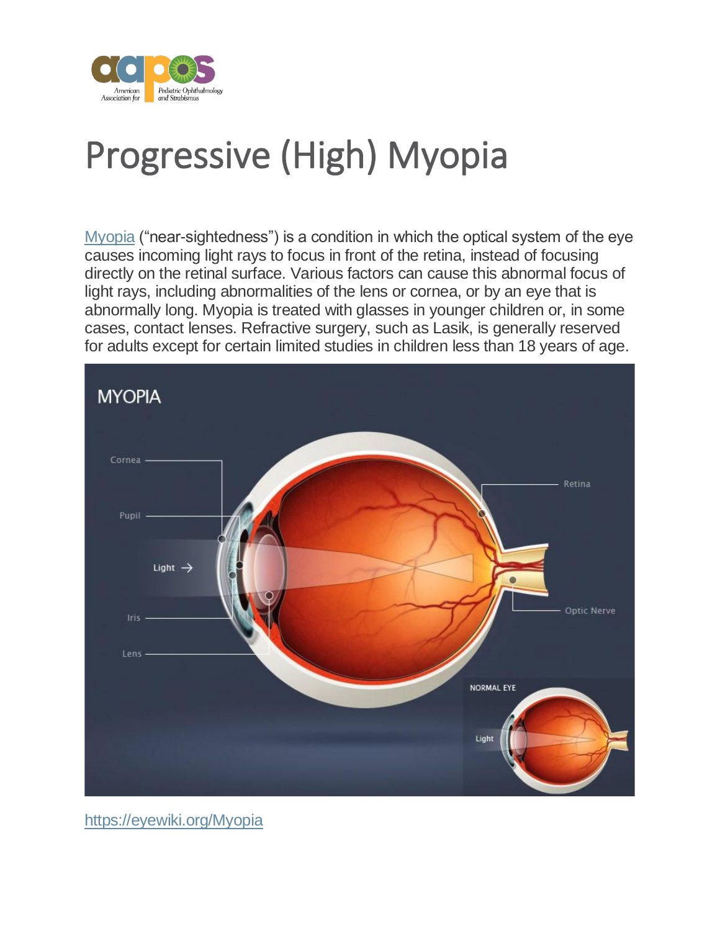

## Progressive (High) Myopia

[Myopia](http://engage.aapos.org/glossary/myopia) ("near-sightedness") is a condition in which the optical system of the eye causes incoming light rays to focus in front of the retina, instead of focusing directly on the retinal surface. Various factors can cause this abnormal focus of light rays, including abnormalities of the lens or cornea, or by an eye that is abnormally long. Myopia is treated with glasses in younger children or, in some cases, contact lenses. Refractive surgery, such as Lasik, is generally reserved for adults except for certain limited studies in children less than 18 years of age.



<https://eyewiki.org/Myopia>